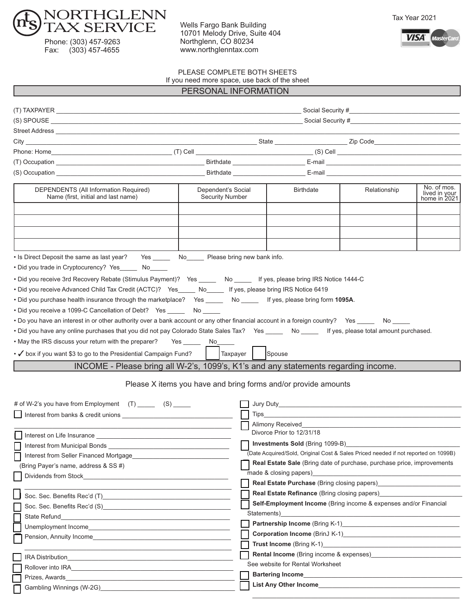

Phone: (303) 457-9263 Fax: (303) 457-4655

Wells Fargo Bank Building 10701 Melody Drive, Suite 404 Northglenn, CO 80234 www.northglenntax.com





PLEASE COMPLETE BOTH SHEETS

If you need more space, use back of the sheet

| PERSONAL INFORMATION |
|----------------------|
|----------------------|

| DEPENDENTS (All Information Required)<br>Name (first, initial and last name)                                                                                                                                                                                                                                                                                                                                                                                                                                                                                                                                                                                                                                                                                                                                                                                                             | Dependent's Social<br><b>Security Number</b> | <b>Birthdate</b>                                                                                                                                                                                                               | Relationship | No. of mos.<br>lived in your<br>home in 2021 |  |  |  |  |  |
|------------------------------------------------------------------------------------------------------------------------------------------------------------------------------------------------------------------------------------------------------------------------------------------------------------------------------------------------------------------------------------------------------------------------------------------------------------------------------------------------------------------------------------------------------------------------------------------------------------------------------------------------------------------------------------------------------------------------------------------------------------------------------------------------------------------------------------------------------------------------------------------|----------------------------------------------|--------------------------------------------------------------------------------------------------------------------------------------------------------------------------------------------------------------------------------|--------------|----------------------------------------------|--|--|--|--|--|
| . Is Direct Deposit the same as last year? Yes ________ No_______ Please bring new bank info.<br>. Did you trade in Cryptocurency? Yes No                                                                                                                                                                                                                                                                                                                                                                                                                                                                                                                                                                                                                                                                                                                                                |                                              |                                                                                                                                                                                                                                |              |                                              |  |  |  |  |  |
| . Did you receive 3rd Recovery Rebate (Stimulus Payment)? Yes _____ No _____ If yes, please bring IRS Notice 1444-C<br>. Did you receive Advanced Child Tax Credit (ACTC)? Yes_____ No_____ If yes, please bring IRS Notice 6419<br>. Did you purchase health insurance through the marketplace? Yes _____ No _____ If yes, please bring form 1095A.<br>• Did you receive a 1099-C Cancellation of Debt? Yes _______ No _____<br>• Do you have an interest in or other authority over a bank account or any other financial account in a foreign country? Yes ______ No _____<br>. Did you have any online purchases that you did not pay Colorado State Sales Tax? Yes ____ No ____ If yes, please total amount purchased.<br>. May the IRS discuss your return with the preparer? Yes _______ No_<br>$\cdot$ $\checkmark$ box if you want \$3 to go to the Presidential Campaign Fund? | Taxpayer                                     | Spouse                                                                                                                                                                                                                         |              |                                              |  |  |  |  |  |
|                                                                                                                                                                                                                                                                                                                                                                                                                                                                                                                                                                                                                                                                                                                                                                                                                                                                                          |                                              |                                                                                                                                                                                                                                |              |                                              |  |  |  |  |  |
| INCOME - Please bring all W-2's, 1099's, K1's and any statements regarding income.<br>Please X items you have and bring forms and/or provide amounts                                                                                                                                                                                                                                                                                                                                                                                                                                                                                                                                                                                                                                                                                                                                     |                                              |                                                                                                                                                                                                                                |              |                                              |  |  |  |  |  |
| # of W-2's you have from Employment (T) ______ (S) _____                                                                                                                                                                                                                                                                                                                                                                                                                                                                                                                                                                                                                                                                                                                                                                                                                                 |                                              |                                                                                                                                                                                                                                |              |                                              |  |  |  |  |  |
| Interest from banks & credit unions <b>contained to the contact of the set of the contact of the contact of the contact of the contact of the contact of the contact of the contact of the contact of the contact of the contact</b>                                                                                                                                                                                                                                                                                                                                                                                                                                                                                                                                                                                                                                                     |                                              |                                                                                                                                                                                                                                |              |                                              |  |  |  |  |  |
|                                                                                                                                                                                                                                                                                                                                                                                                                                                                                                                                                                                                                                                                                                                                                                                                                                                                                          |                                              | Alimony Received <b>Example 2018</b>                                                                                                                                                                                           |              |                                              |  |  |  |  |  |
|                                                                                                                                                                                                                                                                                                                                                                                                                                                                                                                                                                                                                                                                                                                                                                                                                                                                                          |                                              | Divorce Prior to 12/31/18                                                                                                                                                                                                      |              |                                              |  |  |  |  |  |
| Interest from Municipal Bonds                                                                                                                                                                                                                                                                                                                                                                                                                                                                                                                                                                                                                                                                                                                                                                                                                                                            |                                              | <b>Investments Sold</b> (Bring 1099-B)                                                                                                                                                                                         |              |                                              |  |  |  |  |  |
| Interest from Seller Financed Mortgage                                                                                                                                                                                                                                                                                                                                                                                                                                                                                                                                                                                                                                                                                                                                                                                                                                                   |                                              | (Date Acquired/Sold, Original Cost & Sales Priced needed if not reported on 1099B)                                                                                                                                             |              |                                              |  |  |  |  |  |
| (Bring Payer's name, address & SS #)                                                                                                                                                                                                                                                                                                                                                                                                                                                                                                                                                                                                                                                                                                                                                                                                                                                     |                                              | <b>Real Estate Sale</b> (Bring date of purchase, purchase price, improvements                                                                                                                                                  |              |                                              |  |  |  |  |  |
|                                                                                                                                                                                                                                                                                                                                                                                                                                                                                                                                                                                                                                                                                                                                                                                                                                                                                          |                                              | made & closing papers)                                                                                                                                                                                                         |              |                                              |  |  |  |  |  |
|                                                                                                                                                                                                                                                                                                                                                                                                                                                                                                                                                                                                                                                                                                                                                                                                                                                                                          |                                              | Real Estate Purchase (Bring closing papers)_                                                                                                                                                                                   |              |                                              |  |  |  |  |  |
| Soc. Sec. Benefits Rec'd (T)                                                                                                                                                                                                                                                                                                                                                                                                                                                                                                                                                                                                                                                                                                                                                                                                                                                             |                                              | Real Estate Refinance (Bring closing papers)___________                                                                                                                                                                        |              |                                              |  |  |  |  |  |
|                                                                                                                                                                                                                                                                                                                                                                                                                                                                                                                                                                                                                                                                                                                                                                                                                                                                                          |                                              | Self-Employment Income (Bring income & expenses and/or Financial                                                                                                                                                               |              |                                              |  |  |  |  |  |
| <b>State Refund</b><br><u> 2000 - 2000 - 2000 - 2000 - 2000 - 2000 - 2000 - 2000 - 2000 - 2000 - 2000 - 2000 - 2000 - 2000 - 2000 - 200</u>                                                                                                                                                                                                                                                                                                                                                                                                                                                                                                                                                                                                                                                                                                                                              | Statements)                                  |                                                                                                                                                                                                                                |              |                                              |  |  |  |  |  |
| Unemployment Income <b>Example 2018</b> The Contract of the Contract of the Contract of the Contract of the Contract of the Contract of the Contract of the Contract of the Contract of the Contract of the Contract of the Contrac                                                                                                                                                                                                                                                                                                                                                                                                                                                                                                                                                                                                                                                      |                                              |                                                                                                                                                                                                                                |              |                                              |  |  |  |  |  |
| Pension, Annuity Income <b>Example 2018</b>                                                                                                                                                                                                                                                                                                                                                                                                                                                                                                                                                                                                                                                                                                                                                                                                                                              |                                              |                                                                                                                                                                                                                                |              |                                              |  |  |  |  |  |
|                                                                                                                                                                                                                                                                                                                                                                                                                                                                                                                                                                                                                                                                                                                                                                                                                                                                                          |                                              | Trust Income (Bring K-1) Manual Account of the United States of the United States and Account of the United States of the United States and Account of the United States and Account of the United States and Account of the U |              |                                              |  |  |  |  |  |
|                                                                                                                                                                                                                                                                                                                                                                                                                                                                                                                                                                                                                                                                                                                                                                                                                                                                                          |                                              | Rental Income (Bring income & expenses) [1994]                                                                                                                                                                                 |              |                                              |  |  |  |  |  |
| Rollover into IRA <b>contract and in the Contract of the Contract of Table 2016</b>                                                                                                                                                                                                                                                                                                                                                                                                                                                                                                                                                                                                                                                                                                                                                                                                      |                                              | See website for Rental Worksheet                                                                                                                                                                                               |              |                                              |  |  |  |  |  |
| Prizes, Awards<br>the control of the control of the control of the control of the control of                                                                                                                                                                                                                                                                                                                                                                                                                                                                                                                                                                                                                                                                                                                                                                                             |                                              | Bartering Income <b>Example 2018</b>                                                                                                                                                                                           |              |                                              |  |  |  |  |  |
| Gambling Winnings (W-2G) Cambling Winnings (W-2G)                                                                                                                                                                                                                                                                                                                                                                                                                                                                                                                                                                                                                                                                                                                                                                                                                                        |                                              | List Any Other Income Manual And Angle Contract to the United States and Angle Contract of the United States and                                                                                                               |              |                                              |  |  |  |  |  |
|                                                                                                                                                                                                                                                                                                                                                                                                                                                                                                                                                                                                                                                                                                                                                                                                                                                                                          |                                              |                                                                                                                                                                                                                                |              |                                              |  |  |  |  |  |